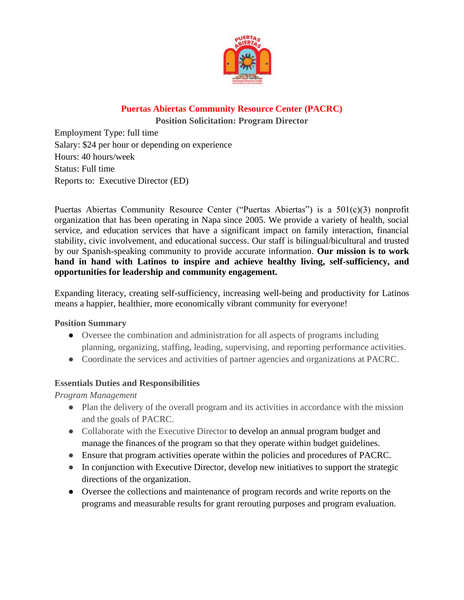

## **Puertas Abiertas Community Resource Center (PACRC)**

**Position Solicitation: Program Director** 

Employment Type: full time Salary: \$24 per hour or depending on experience Hours: 40 hours/week Status: Full time Reports to: Executive Director (ED)

Puertas Abiertas Community Resource Center ("Puertas Abiertas") is a 501(c)(3) nonprofit organization that has been operating in Napa since 2005. We provide a variety of health, social service, and education services that have a significant impact on family interaction, financial stability, civic involvement, and educational success. Our staff is bilingual/bicultural and trusted by our Spanish-speaking community to provide accurate information. **Our mission is to work hand in hand with Latinos to inspire and achieve healthy living, self-sufficiency, and opportunities for leadership and community engagement.** 

Expanding literacy, creating self-sufficiency, increasing well-being and productivity for Latinos means a happier, healthier, more economically vibrant community for everyone!

**Position Summary**

- Oversee the combination and administration for all aspects of programs including planning, organizing, staffing, leading, supervising, and reporting performance activities.
- Coordinate the services and activities of partner agencies and organizations at PACRC.

## **Essentials Duties and Responsibilities**

*Program Management*

- Plan the delivery of the overall program and its activities in accordance with the mission and the goals of PACRC.
- Collaborate with the Executive Director to develop an annual program budget and manage the finances of the program so that they operate within budget guidelines.
- Ensure that program activities operate within the policies and procedures of PACRC.
- In conjunction with Executive Director, develop new initiatives to support the strategic directions of the organization.
- Oversee the collections and maintenance of program records and write reports on the programs and measurable results for grant rerouting purposes and program evaluation.